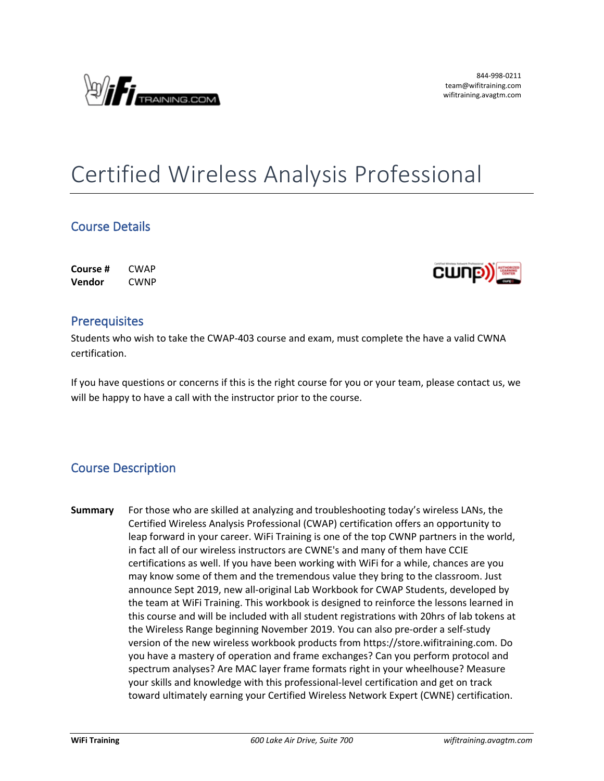

# Certified Wireless Analysis Professional

## **Course Details**

**Course #** CWAP **Vendor** CWNP



### **Prerequisites**

Students who wish to take the CWAP-403 course and exam, must complete the have a valid CWNA certification.

If you have questions or concerns if this is the right course for you or your team, please contact us, we will be happy to have a call with the instructor prior to the course.

## **Course Description**

**Summary** For those who are skilled at analyzing and troubleshooting today's wireless LANs, the Certified Wireless Analysis Professional (CWAP) certification offers an opportunity to leap forward in your career. WiFi Training is one of the top CWNP partners in the world, in fact all of our wireless instructors are CWNE's and many of them have CCIE certifications as well. If you have been working with WiFi for a while, chances are you may know some of them and the tremendous value they bring to the classroom. Just announce Sept 2019, new all-original Lab Workbook for CWAP Students, developed by the team at WiFi Training. This workbook is designed to reinforce the lessons learned in this course and will be included with all student registrations with 20hrs of lab tokens at the Wireless Range beginning November 2019. You can also pre-order a self-study version of the new wireless workbook products from https://store.wifitraining.com. Do you have a mastery of operation and frame exchanges? Can you perform protocol and spectrum analyses? Are MAC layer frame formats right in your wheelhouse? Measure your skills and knowledge with this professional-level certification and get on track toward ultimately earning your Certified Wireless Network Expert (CWNE) certification.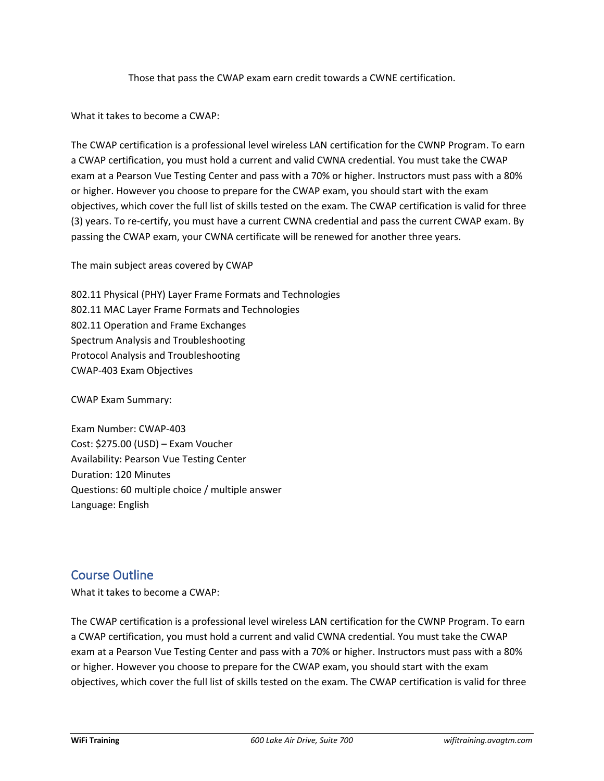Those that pass the CWAP exam earn credit towards a CWNE certification.

What it takes to become a CWAP:

The CWAP certification is a professional level wireless LAN certification for the CWNP Program. To earn a CWAP certification, you must hold a current and valid CWNA credential. You must take the CWAP exam at a Pearson Vue Testing Center and pass with a 70% or higher. Instructors must pass with a 80% or higher. However you choose to prepare for the CWAP exam, you should start with the exam objectives, which cover the full list of skills tested on the exam. The CWAP certification is valid for three (3) years. To re-certify, you must have a current CWNA credential and pass the current CWAP exam. By passing the CWAP exam, your CWNA certificate will be renewed for another three years.

The main subject areas covered by CWAP

802.11 Physical (PHY) Layer Frame Formats and Technologies 802.11 MAC Layer Frame Formats and Technologies 802.11 Operation and Frame Exchanges Spectrum Analysis and Troubleshooting Protocol Analysis and Troubleshooting CWAP-403 Exam Objectives

CWAP Exam Summary:

Exam Number: CWAP-403 Cost: \$275.00 (USD) – Exam Voucher Availability: Pearson Vue Testing Center Duration: 120 Minutes Questions: 60 multiple choice / multiple answer Language: English

#### **Course Outline**

What it takes to become a CWAP:

The CWAP certification is a professional level wireless LAN certification for the CWNP Program. To earn a CWAP certification, you must hold a current and valid CWNA credential. You must take the CWAP exam at a Pearson Vue Testing Center and pass with a 70% or higher. Instructors must pass with a 80% or higher. However you choose to prepare for the CWAP exam, you should start with the exam objectives, which cover the full list of skills tested on the exam. The CWAP certification is valid for three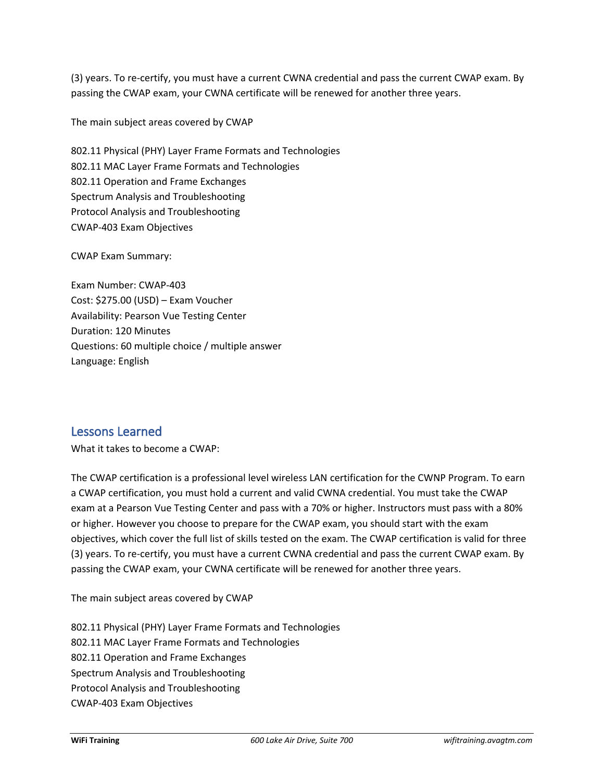(3) years. To re-certify, you must have a current CWNA credential and pass the current CWAP exam. By passing the CWAP exam, your CWNA certificate will be renewed for another three years.

The main subject areas covered by CWAP

802.11 Physical (PHY) Layer Frame Formats and Technologies 802.11 MAC Layer Frame Formats and Technologies 802.11 Operation and Frame Exchanges Spectrum Analysis and Troubleshooting Protocol Analysis and Troubleshooting CWAP-403 Exam Objectives

CWAP Exam Summary:

Exam Number: CWAP-403 Cost: \$275.00 (USD) – Exam Voucher Availability: Pearson Vue Testing Center Duration: 120 Minutes Questions: 60 multiple choice / multiple answer Language: English

#### **Lessons Learned**

What it takes to become a CWAP:

The CWAP certification is a professional level wireless LAN certification for the CWNP Program. To earn a CWAP certification, you must hold a current and valid CWNA credential. You must take the CWAP exam at a Pearson Vue Testing Center and pass with a 70% or higher. Instructors must pass with a 80% or higher. However you choose to prepare for the CWAP exam, you should start with the exam objectives, which cover the full list of skills tested on the exam. The CWAP certification is valid for three (3) years. To re-certify, you must have a current CWNA credential and pass the current CWAP exam. By passing the CWAP exam, your CWNA certificate will be renewed for another three years.

The main subject areas covered by CWAP

802.11 Physical (PHY) Layer Frame Formats and Technologies 802.11 MAC Layer Frame Formats and Technologies 802.11 Operation and Frame Exchanges Spectrum Analysis and Troubleshooting Protocol Analysis and Troubleshooting CWAP-403 Exam Objectives